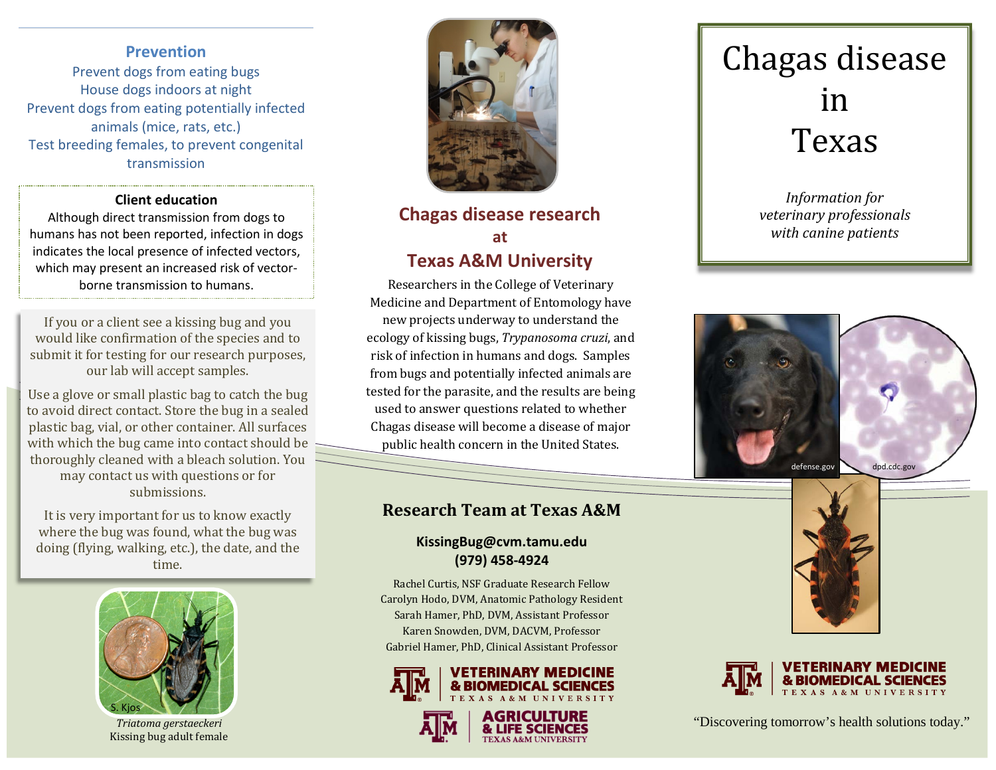### **Prevention**

Prevent dogs from eating bugs House dogs indoors at night Prevent dogs from eating potentially infected animals (mice, rats, etc.) Test breeding females, to prevent congenital transmission

#### **Client education**

Although direct transmission from dogs to humans has not been reported, infection in dogs indicates the local presence of infected vectors, which may present an increased risk of vectorborne transmission to humans.

If you or a client see a kissing bug and you would like confirmation of the species and to submit it for testing for our research purposes, our lab will accept samples.

Use a glove or small plastic bag to catch the bug to avoid direct contact. Store the bug in a sealed plastic bag, vial, or other container. All surfaces with which the bug came into contact should be thoroughly cleaned with a bleach solution. You may contact us with questions or for submissions.

It is very important for us to know exactly where the bug was found, what the bug was doing (flying, walking, etc.), the date, and the time.



*Triatoma gerstaeckeri* Kissing bug adult female



## **Chagas disease research at Texas A&M University**

Researchers in the College of Veterinary Medicine and Department of Entomology have new projects underway to understand the ecology of kissing bugs, *Trypanosoma cruzi*, and risk of infection in humans and dogs. Samples from bugs and potentially infected animals are tested for the parasite, and the results are being used to answer questions related to whether Chagas disease will become a disease of major public health concern in the United States.

### **Research Team at Texas A&M**

### **KissingBug@cvm.tamu.edu (979) 458-4924**

Rachel Curtis, NSF Graduate Research Fellow Carolyn Hodo, DVM, Anatomic Pathology Resident Sarah Hamer, PhD, DVM, Assistant Professor Karen Snowden, DVM, DACVM, Professor Gabriel Hamer, PhD, Clinical Assistant Professor







## Chagas disease in Texas

*Information for veterinary professionals with canine patients*







"Discovering tomorrow's health solutions today."